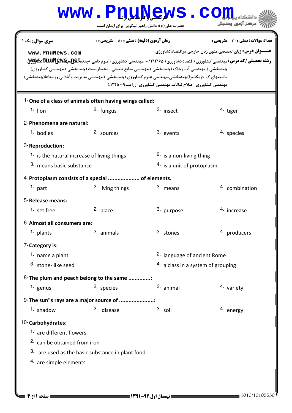# www.P<u>nuNe</u>ws.com

حضرت علي(ع): دانش راهبر نيكويي براي ايمان است

| سری سوال : یک ۱                                                                                                                                                                                                       | زمان آزمون (دقيقه) : تستى : 50 ٪ تشريحي : 0               |                          | <b>تعداد سوالات : تستی : 30 ٪ تشریحی : 0</b>                                                                                                                                                                     |  |  |  |
|-----------------------------------------------------------------------------------------------------------------------------------------------------------------------------------------------------------------------|-----------------------------------------------------------|--------------------------|------------------------------------------------------------------------------------------------------------------------------------------------------------------------------------------------------------------|--|--|--|
| www.PnuNews.com<br>چندبخشي )،مهندسي آب وخاک (چندبخشي )،مهندسي منابع طبيعي -محيطزيست (چندبخشي )،مهندسي کشاورزي)<br>ماشینهای ک ×ومکانیزا)چندبخشی،مهندسی علوم کشاورزی (چندبخشی )،مهندسی مدیریت وآبادانی روستاها(چندبخشی) | مهندسی کشاورزی-اصلاح نباتات،مهندسی کشاورزی-زراعت۱۲۲۵۰۰۹.( |                          | <b>عنـــوان درس:</b> زبان تخصصي،متون زبان خارجي دراقتصادكشاورزي<br><b>رشته تحصیلی/کد درس: م</b> هندسی کشاورزی (اقتصادکشاورزی) ۱۲۱۲۱۶۵ - ،مهندسی کشاورزی (علوم دامی )چندب <b>خیج.مچکلایاتالتالتالتالتالی</b><br>. |  |  |  |
| 1-One of a class of animals often having wings called:                                                                                                                                                                |                                                           |                          |                                                                                                                                                                                                                  |  |  |  |
| $1.$ lion                                                                                                                                                                                                             | <sup>2.</sup> fungus                                      | 3. insect                | <sup>4</sup> tiger                                                                                                                                                                                               |  |  |  |
| 2-Phenomena are natural:                                                                                                                                                                                              |                                                           |                          |                                                                                                                                                                                                                  |  |  |  |
| 1. bodies                                                                                                                                                                                                             | 2. sources                                                | 3. events                | 4. species                                                                                                                                                                                                       |  |  |  |
| 3-Reproduction:                                                                                                                                                                                                       |                                                           |                          |                                                                                                                                                                                                                  |  |  |  |
| 1. is the natural increase of living things                                                                                                                                                                           |                                                           | 2. is a non-living thing |                                                                                                                                                                                                                  |  |  |  |
| 3. means basic substance                                                                                                                                                                                              |                                                           |                          | 4. is a unit of protoplasm                                                                                                                                                                                       |  |  |  |
| 4-Protoplasm consists of a special  of elements.                                                                                                                                                                      |                                                           |                          |                                                                                                                                                                                                                  |  |  |  |
| 1. $part$                                                                                                                                                                                                             | 2. living things                                          | 3. means                 | 4. combination                                                                                                                                                                                                   |  |  |  |
| 5-Release means:                                                                                                                                                                                                      |                                                           |                          |                                                                                                                                                                                                                  |  |  |  |
| 1. set free                                                                                                                                                                                                           | 2. place                                                  | 3. purpose               | 4. increase                                                                                                                                                                                                      |  |  |  |
| 6-Almost all consumers are:                                                                                                                                                                                           |                                                           |                          |                                                                                                                                                                                                                  |  |  |  |
| 1. plants                                                                                                                                                                                                             | 2. animals                                                | 3. stones                | 4. producers                                                                                                                                                                                                     |  |  |  |
| 7-Category is:                                                                                                                                                                                                        |                                                           |                          |                                                                                                                                                                                                                  |  |  |  |
| 1. name a plant                                                                                                                                                                                                       |                                                           |                          | 2. language of ancient Rome                                                                                                                                                                                      |  |  |  |
| 3. stone-like seed                                                                                                                                                                                                    |                                                           |                          | 4. a class in a system of grouping                                                                                                                                                                               |  |  |  |
| 8-The plum and peach belong to the same :                                                                                                                                                                             |                                                           |                          |                                                                                                                                                                                                                  |  |  |  |
| 1. $genus$                                                                                                                                                                                                            | 2. species                                                | 3. animal                | 4. variety                                                                                                                                                                                                       |  |  |  |
| 9-The sun"s rays are a major source of                                                                                                                                                                                |                                                           |                          |                                                                                                                                                                                                                  |  |  |  |
| 1. shadow                                                                                                                                                                                                             | 2. disease                                                | $3.$ soil                | 4. energy                                                                                                                                                                                                        |  |  |  |
| 10-Carbohydrates:                                                                                                                                                                                                     |                                                           |                          |                                                                                                                                                                                                                  |  |  |  |
| <b>1.</b> are different flowers                                                                                                                                                                                       |                                                           |                          |                                                                                                                                                                                                                  |  |  |  |
| 2. can be obtained from iron                                                                                                                                                                                          |                                                           |                          |                                                                                                                                                                                                                  |  |  |  |
| 3. are used as the basic substance in plant food                                                                                                                                                                      |                                                           |                          |                                                                                                                                                                                                                  |  |  |  |
| 4. are simple elements                                                                                                                                                                                                |                                                           |                          |                                                                                                                                                                                                                  |  |  |  |
|                                                                                                                                                                                                                       |                                                           |                          |                                                                                                                                                                                                                  |  |  |  |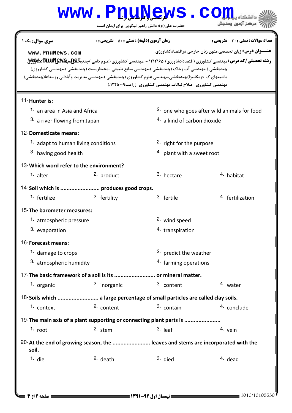## www.P<u>nuNe</u>ws.com

حضرت علي(ع): دانش راهبر نيكويي براي ايمان است

| <b>سری سوال :</b> یک ۱                                                                                                                                                                             | <b>زمان آزمون (دقیقه) : تستی : 80 ٪ تشریحی : 0</b>                                                                                         |                                                                 | <b>تعداد سوالات : تستي : 30 ٪ تشريحي : 0</b> |  |  |  |
|----------------------------------------------------------------------------------------------------------------------------------------------------------------------------------------------------|--------------------------------------------------------------------------------------------------------------------------------------------|-----------------------------------------------------------------|----------------------------------------------|--|--|--|
| www.PnuNews.com                                                                                                                                                                                    |                                                                                                                                            | <b>عنـــوان درس:</b> زبان تخصصی،متون زبان خارجی دراقتصادکشاورزی |                                              |  |  |  |
|                                                                                                                                                                                                    | <b>رشته تحصیلی/کد درس:</b> مهندسی کشاورزی (اقتصادکشاورزی) ۱۲۱۲۱۶۵ - ،مهندسی کشاورزی (علوم دامی )چندب <b>خیج.مچکلایالتالتاتاتاتیلاپرایل</b> |                                                                 |                                              |  |  |  |
| چندبخشی )،مهندسی آب وخاک (چندبخشی )،مهندسی منابع طبیعی -محیطزیست (چندبخشی )،مهندسی کشاورزی)<br>ماشینهای ک ×ومکانیزا)چندبخشی،مهندسی علوم کشاورزی (چندبخشی )،مهندسی مدیریت وآبادانی روستاها(چندبخشی) |                                                                                                                                            |                                                                 |                                              |  |  |  |
|                                                                                                                                                                                                    |                                                                                                                                            | مهندسی کشاورزی-اصلاح نباتات،مهندسی کشاورزی-زراعت۱۲۲۵۰۰۹.(       |                                              |  |  |  |
|                                                                                                                                                                                                    |                                                                                                                                            |                                                                 |                                              |  |  |  |
| 11-Hunter is:                                                                                                                                                                                      |                                                                                                                                            |                                                                 |                                              |  |  |  |
| 1. an area in Asia and Africa                                                                                                                                                                      |                                                                                                                                            | <sup>2</sup> one who goes after wild animals for food           |                                              |  |  |  |
| 3. a river flowing from Japan                                                                                                                                                                      |                                                                                                                                            | 4. a kind of carbon dioxide                                     |                                              |  |  |  |
| 12-Domesticate means:                                                                                                                                                                              |                                                                                                                                            |                                                                 |                                              |  |  |  |
| 1. adapt to human living conditions                                                                                                                                                                |                                                                                                                                            | <sup>2</sup> right for the purpose                              |                                              |  |  |  |
| 3. having good health                                                                                                                                                                              |                                                                                                                                            | 4. plant with a sweet root                                      |                                              |  |  |  |
| 13-Which word refer to the environment?                                                                                                                                                            |                                                                                                                                            |                                                                 |                                              |  |  |  |
| 1. alter                                                                                                                                                                                           | <sup>2.</sup> product                                                                                                                      | 3. hectare                                                      | <sup>4</sup> habitat                         |  |  |  |
| 14-Soil which is  produces good crops.                                                                                                                                                             |                                                                                                                                            |                                                                 |                                              |  |  |  |
| 1. fertilize                                                                                                                                                                                       | 2. fertility                                                                                                                               | 3. fertile                                                      | 4. fertilization                             |  |  |  |
|                                                                                                                                                                                                    | 15-The barometer measures:                                                                                                                 |                                                                 |                                              |  |  |  |
| 1. atmospheric pressure                                                                                                                                                                            |                                                                                                                                            | 2. wind speed                                                   |                                              |  |  |  |
| 3. evaporation                                                                                                                                                                                     |                                                                                                                                            | 4. transpiration                                                |                                              |  |  |  |
| 16-Forecast means:                                                                                                                                                                                 |                                                                                                                                            |                                                                 |                                              |  |  |  |
| 1. damage to crops                                                                                                                                                                                 |                                                                                                                                            | <sup>2</sup> predict the weather                                |                                              |  |  |  |
| 3. atmospheric humidity                                                                                                                                                                            |                                                                                                                                            | 4. farming operations                                           |                                              |  |  |  |
| 17-The basic framework of a soil is its  or mineral matter.                                                                                                                                        |                                                                                                                                            |                                                                 |                                              |  |  |  |
| 1. organic                                                                                                                                                                                         | 2. inorganic                                                                                                                               | 3. content                                                      | 4. water                                     |  |  |  |
| 18-Soils which  a large percentage of small particles are called clay soils.                                                                                                                       |                                                                                                                                            |                                                                 |                                              |  |  |  |
| 1. context                                                                                                                                                                                         | 2. content                                                                                                                                 | 3. contain                                                      | 4. conclude                                  |  |  |  |
| 19-The main axis of a plant supporting or connecting plant parts is                                                                                                                                |                                                                                                                                            |                                                                 |                                              |  |  |  |
| $1.$ root                                                                                                                                                                                          | 2. stem                                                                                                                                    | $3.$ leaf                                                       | 4. vein                                      |  |  |  |
| 20-At the end of growing season, the  leaves and stems are incorporated with the<br>soil.                                                                                                          |                                                                                                                                            |                                                                 |                                              |  |  |  |
| 1. $die$                                                                                                                                                                                           | 2. death                                                                                                                                   | 3. died                                                         | 4. dead                                      |  |  |  |
|                                                                                                                                                                                                    |                                                                                                                                            |                                                                 |                                              |  |  |  |
|                                                                                                                                                                                                    |                                                                                                                                            |                                                                 |                                              |  |  |  |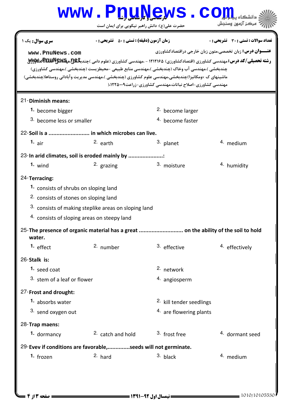### حضرت علي(ع): دانش راهبر نيكويي براي ايمان است www.P<u>nuNe</u>ws.com **عنــــوان درس:** زبان تخصصي،متون زبان خارجي دراقتصادكشاورزي ر**شته تحصیلی/کد درس: <sub>م</sub>هندسی کشاورزی (اقتصادکشاورزی) ۱۲۱۲۱۶۵ - ،مهندسی کشاورزی (علوم دامی )چندب<del>گ</del>ـ&BW&Rپر<br>د** نعداد سوالات : تستي : 30 - تشريحي : . زمان آزمون (دقيقه) : تستي : 50 - تشريحي : 0 - رئيس س چندبخشی )،مهندسی آب وخاک (چندبخشی )،مهندسی منابع طبیعی -محیطزیست (چندبخشی )،مهندسی کشاورزی) ماشینهای ک ×ومکانیزا)چندبخشی،مهندسی علوم کشاورزی (چندبخشی )،مهندسی مدیریت وآبادانی روستاها(چندبخشی) مهندسی کشاورزی-اصلاح نیاتات،مهندسی کشاورزی-زراعت۹۰۰۹-۱۲۲۵/ 21-Diminish means: 2. become larger  $3.$  become less or smaller  $4.$  become faster **1.** become bigger 22-Soil is a .......................... in which microbes can live. 1.  $air$  2.  $earth$  3.  $planet$  4.  $median$ 3. planet 23-In arid climates, soil is eroded mainly by ...................... 1. wind 2. grazing 3. moisture 4. humidity 3. moisture 24-Terracing: consists of shrubs on sloping land **1.** 2. consists of stones on sloping land  $3.$  consists of making steplike areas on sloping land 4. consists of sloping areas on steepy land 25-The presence of organic material has a great ............................. on the ability of the soil to hold water. 1.  $effect$   $\frac{2}{m}$  number  $\frac{3}{m}$  effective  $\frac{4}{m}$  effectively <sup>3.</sup> effective 26-Stalk is: 2. network  $3.$  stem of a leaf or flower  $\frac{3.4}{1.4}$  angiosperm **1.** seed coat 27-Frost and drought: 2. kill tender seedlings  $4.$  are flowering plants **1.** absorbs water 3. send oxygen out 28-Trap maens: 1. dormancy 2. catch and hold  $\frac{3}{2}$  frost free  $\frac{4}{2}$  dormant seed <sup>2.</sup> catch and hold 29-Evev if conditions are favorable,.............seeds will not germinate. frozen 1983 - Part 1984 March 2. hard 1984 March 3. black 1984 March 4. medium **1.**  $f_{\text{2}}$  **1.**  $f_{\text{2}}$  **1.**  $f_{\text{2}}$  **1.**  $f_{\text{2}}$  **1.**  $f_{\text{2}}$  **1.**  $f_{\text{2}}$  **1.**  $f_{\text{2}}$  **1.**  $f_{\text{2}}$  **1.**  $f_{\text{2}}$  **1.**  $f_{\text{2}}$  **1.**  $f_{\text{2}}$  **1.**  $f_{\text{2}}$  **1.**  $f_{\text{2}}$  **1.**  $f_{\text{2}}$  **1.**  $f_{\text{$ **[www.PnuNews.com](http://pnunews.com)**